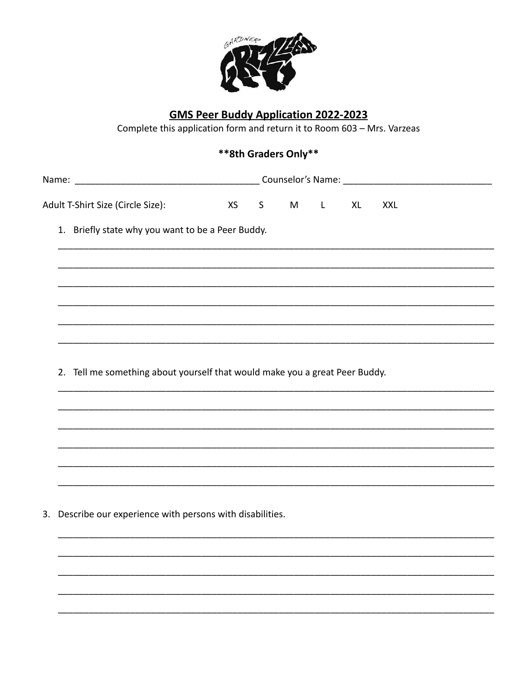

## **GMS Peer Buddy Application 2022-2023**

Complete this application form and return it to Room 603 - Mrs. Varzeas

## \*\*8th Graders Only\*\*

| Name | Counselor's Name: |
|------|-------------------|
|      |                   |

Adult T-Shirt Size (Circle Size):  $\mathsf{S}$  $X<sub>l</sub>$ **XS** M  $\mathbf{I}$ **XXL** 

1. Briefly state why you want to be a Peer Buddy.

2. Tell me something about yourself that would make you a great Peer Buddy.

3. Describe our experience with persons with disabilities.